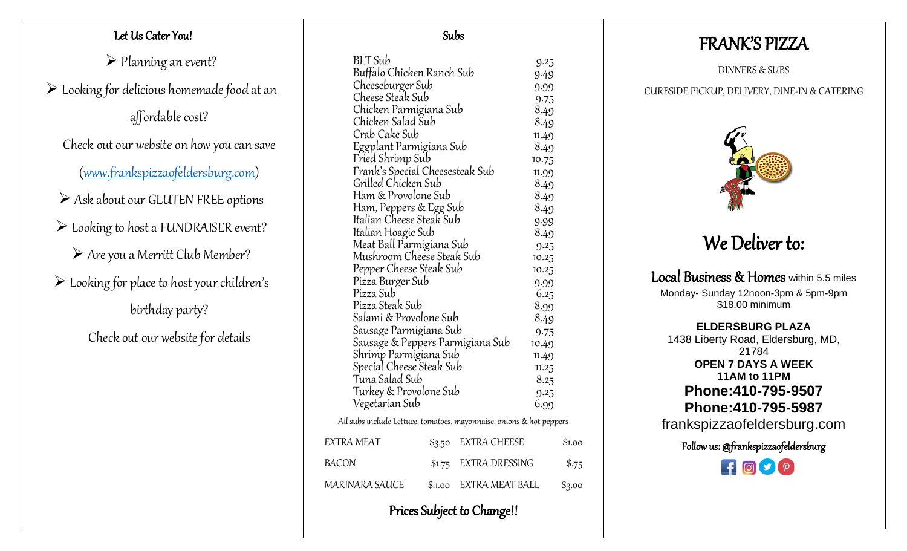## Let Us Cater You!

➢ Planning an event?

 $\triangleright$  Looking for delicious homemade food at an

affordable cost?

Check out our website on how you can save

[\(www.frankspizzaofeldersburg.com\)](http://www.frankspizzaofeldersburg.com/)

- ➢ Ask about our GLUTEN FREE options
- ➢ Looking to host a FUNDRAISER event?
	- ➢ Are you a Merritt Club Member?
- ➢ Looking for place to host your children's

birthday party?

Check out our website for details

| BLT Sub<br>Buffalo Chicken Ranch Sub                                 |         |                       | 9.25<br>9.49 |        |
|----------------------------------------------------------------------|---------|-----------------------|--------------|--------|
| Cheeseburger Sub                                                     |         |                       | 9.99         |        |
| Cheese Steak Sub                                                     |         |                       | 9.75         |        |
| Chicken Parmigiana Sub                                               |         |                       | 8.49         |        |
| Chicken Salad Sub                                                    |         |                       | 8.49         |        |
| Crab Cake Sub                                                        |         |                       | 11.49        |        |
| Eggplant Parmigiana Sub                                              |         |                       | 8.49         |        |
| Fried Shrimp Sub                                                     |         |                       | 10.75        |        |
| Frank's Special Cheesesteak Sub                                      |         |                       | 11.99        |        |
| Grilled Chicken Sub                                                  |         |                       | 8.49         |        |
| Ham & Provolone Sub                                                  |         |                       | 8.49         |        |
| Ham, Peppers & Egg Sub                                               |         |                       | 8.49         |        |
| Italian Cheese Steak Sub                                             |         |                       | 9.99         |        |
| Italian Hoagie Sub                                                   |         |                       | 8.49         |        |
| Meat Ball Parmigiana Sub                                             |         |                       | 9.25         |        |
| Mushroom Cheese Steak Sub                                            |         |                       | 10.25        |        |
| Pepper Cheese Steak Sub                                              |         |                       | 10.25        |        |
| Pizza Burger Sub                                                     |         | 9.99                  |              |        |
| Pizza Sub                                                            |         |                       | 6.25         |        |
| Pizza Steak Sub                                                      |         |                       | 8.99         |        |
| Salami & Provolone Sub                                               |         |                       | 8.49         |        |
| Sausage Parmigiana Sub                                               |         |                       | 9.75         |        |
| Sausage & Peppers Parmigiana Sub                                     |         |                       | 10.49        |        |
| Shrimp Parmigiana Sub                                                |         |                       | 11.49        |        |
| Special Cheese Steak Sub                                             |         |                       | 11.25        |        |
| Tuna Salad Sub                                                       |         |                       | 8.25         |        |
| Turkey & Provolone Sub                                               |         | 9.25                  |              |        |
| Vegetarian Sub                                                       |         |                       | 6.99         |        |
| All subs include Lettuce, tomatoes, mayonnaise, onions & hot peppers |         |                       |              |        |
| <b>EXTRA MEAT</b>                                                    | \$3.50  | <b>EXTRA CHEESE</b>   |              | \$1.00 |
| <b>BACON</b>                                                         | \$1.75  | <b>EXTRA DRESSING</b> |              | \$.75  |
| <b>MARINARA SAUCE</b>                                                | \$.1.00 | EXTRA MEAT BALL       |              | \$3.00 |

Subs

## FRANK'S PIZZA

DINNERS & SUBS

## CURBSIDE PICKUP, DELIVERY, DINE-IN & CATERING



# We Deliver to:

Local Business & Homes within 5.5 miles Monday- Sunday 12noon-3pm & 5pm-9pm \$18.00 minimum

**ELDERSBURG PLAZA** 1438 Liberty Road, Eldersburg, MD, 21784 **OPEN 7 DAYS A WEEK 11AM to 11PM Phone:410-795-9507 Phone:410-795-5987** frankspizzaofeldersburg.com

Follow us: @frankspizzaofeldersburg



Prices Subject to Change!!